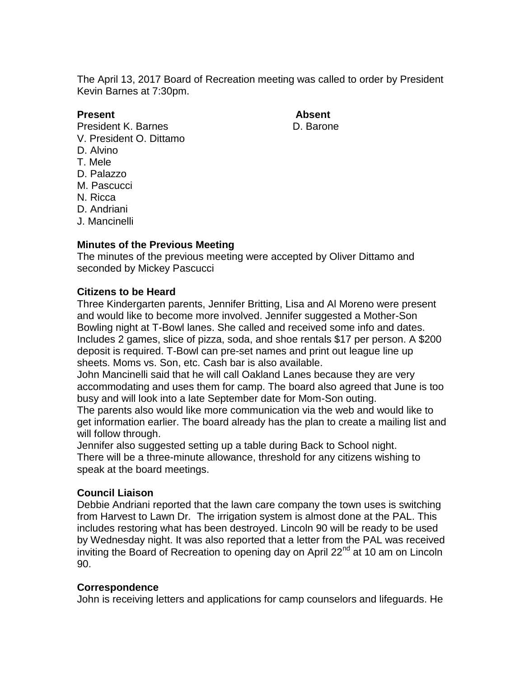The April 13, 2017 Board of Recreation meeting was called to order by President Kevin Barnes at 7:30pm.

### **Present Absent**

- President K. Barnes **D. Barone** V. President O. Dittamo
- D. Alvino
- T. Mele
- D. Palazzo
- M. Pascucci
- N. Ricca
- 
- D. Andriani
- J. Mancinelli

# **Minutes of the Previous Meeting**

The minutes of the previous meeting were accepted by Oliver Dittamo and seconded by Mickey Pascucci

# **Citizens to be Heard**

Three Kindergarten parents, Jennifer Britting, Lisa and Al Moreno were present and would like to become more involved. Jennifer suggested a Mother-Son Bowling night at T-Bowl lanes. She called and received some info and dates. Includes 2 games, slice of pizza, soda, and shoe rentals \$17 per person. A \$200 deposit is required. T-Bowl can pre-set names and print out league line up sheets. Moms vs. Son, etc. Cash bar is also available.

John Mancinelli said that he will call Oakland Lanes because they are very accommodating and uses them for camp. The board also agreed that June is too busy and will look into a late September date for Mom-Son outing.

The parents also would like more communication via the web and would like to get information earlier. The board already has the plan to create a mailing list and will follow through.

Jennifer also suggested setting up a table during Back to School night. There will be a three-minute allowance, threshold for any citizens wishing to speak at the board meetings.

# **Council Liaison**

Debbie Andriani reported that the lawn care company the town uses is switching from Harvest to Lawn Dr. The irrigation system is almost done at the PAL. This includes restoring what has been destroyed. Lincoln 90 will be ready to be used by Wednesday night. It was also reported that a letter from the PAL was received inviting the Board of Recreation to opening day on April  $22^{nd}$  at 10 am on Lincoln 90.

# **Correspondence**

John is receiving letters and applications for camp counselors and lifeguards. He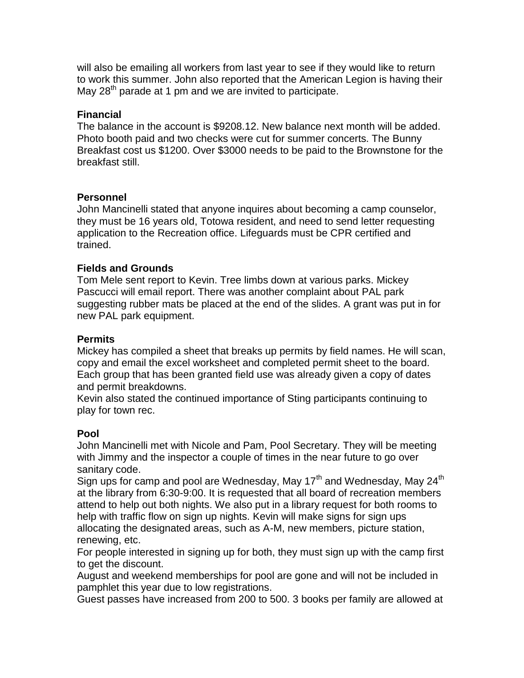will also be emailing all workers from last year to see if they would like to return to work this summer. John also reported that the American Legion is having their May 28<sup>th</sup> parade at 1 pm and we are invited to participate.

# **Financial**

The balance in the account is \$9208.12. New balance next month will be added. Photo booth paid and two checks were cut for summer concerts. The Bunny Breakfast cost us \$1200. Over \$3000 needs to be paid to the Brownstone for the breakfast still.

#### **Personnel**

John Mancinelli stated that anyone inquires about becoming a camp counselor, they must be 16 years old, Totowa resident, and need to send letter requesting application to the Recreation office. Lifeguards must be CPR certified and trained.

# **Fields and Grounds**

Tom Mele sent report to Kevin. Tree limbs down at various parks. Mickey Pascucci will email report. There was another complaint about PAL park suggesting rubber mats be placed at the end of the slides. A grant was put in for new PAL park equipment.

### **Permits**

Mickey has compiled a sheet that breaks up permits by field names. He will scan, copy and email the excel worksheet and completed permit sheet to the board. Each group that has been granted field use was already given a copy of dates and permit breakdowns.

Kevin also stated the continued importance of Sting participants continuing to play for town rec.

#### **Pool**

John Mancinelli met with Nicole and Pam, Pool Secretary. They will be meeting with Jimmy and the inspector a couple of times in the near future to go over sanitary code.

Sign ups for camp and pool are Wednesday, May  $17<sup>th</sup>$  and Wednesday, May 24<sup>th</sup> at the library from 6:30-9:00. It is requested that all board of recreation members attend to help out both nights. We also put in a library request for both rooms to help with traffic flow on sign up nights. Kevin will make signs for sign ups allocating the designated areas, such as A-M, new members, picture station, renewing, etc.

For people interested in signing up for both, they must sign up with the camp first to get the discount.

August and weekend memberships for pool are gone and will not be included in pamphlet this year due to low registrations.

Guest passes have increased from 200 to 500. 3 books per family are allowed at